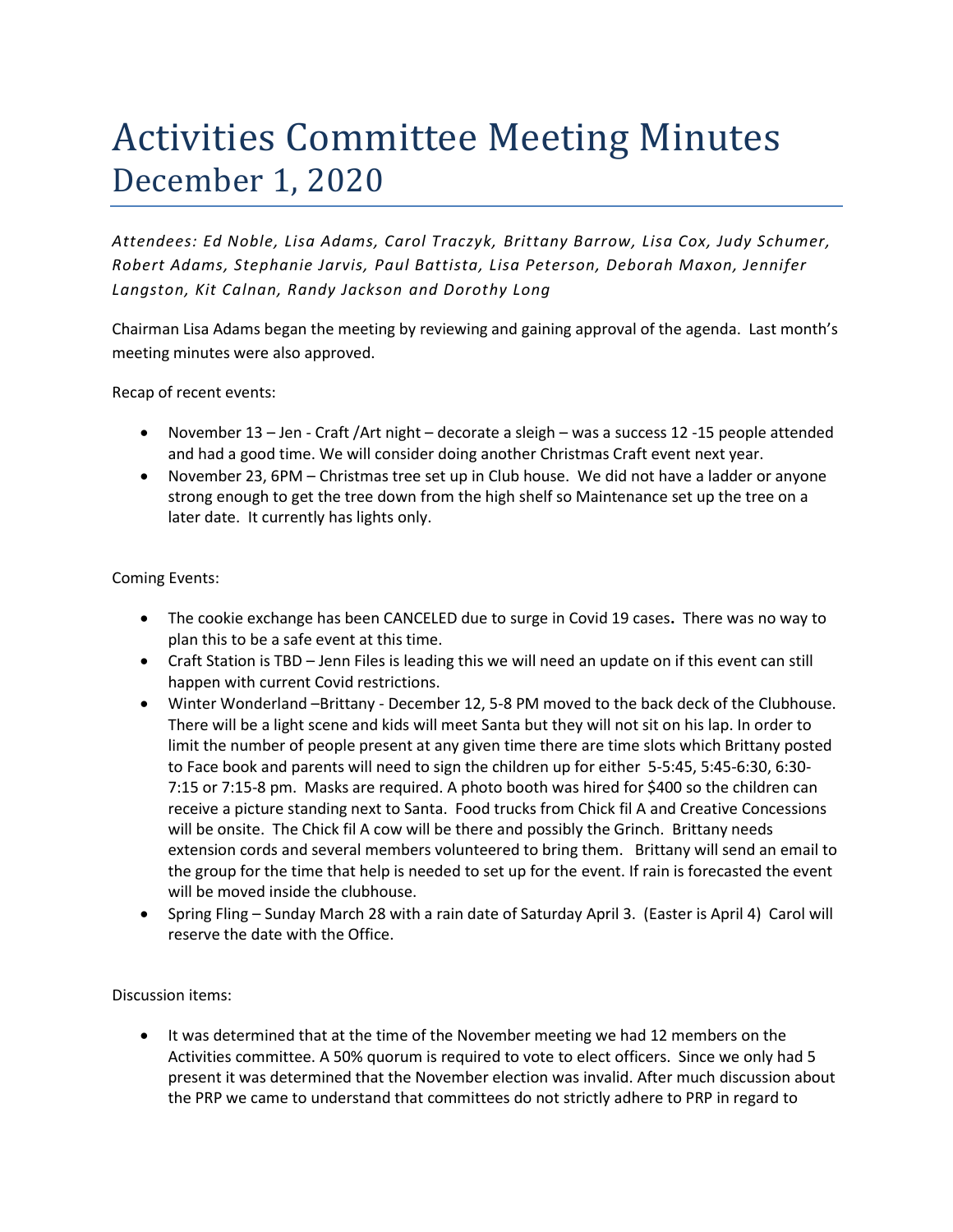# Activities Committee Meeting Minutes December 1, 2020

*Attendees: Ed Noble, Lisa Adams, Carol Traczyk, Brittany Barrow, Lisa Cox, Judy Schumer, Robert Adams, Stephanie Jarvis, Paul Battista, Lisa Peterson, Deborah Maxon, Jennifer Langston, Kit Calnan, Randy Jackson and Dorothy Long*

Chairman Lisa Adams began the meeting by reviewing and gaining approval of the agenda. Last month's meeting minutes were also approved.

Recap of recent events:

- November 13 Jen Craft / Art night decorate a sleigh was a success 12 -15 people attended and had a good time. We will consider doing another Christmas Craft event next year.
- November 23, 6PM Christmas tree set up in Club house. We did not have a ladder or anyone strong enough to get the tree down from the high shelf so Maintenance set up the tree on a later date. It currently has lights only.

#### Coming Events:

- The cookie exchange has been CANCELED due to surge in Covid 19 cases**.** There was no way to plan this to be a safe event at this time.
- Craft Station is TBD Jenn Files is leading this we will need an update on if this event can still happen with current Covid restrictions.
- Winter Wonderland –Brittany December 12, 5-8 PM moved to the back deck of the Clubhouse. There will be a light scene and kids will meet Santa but they will not sit on his lap. In order to limit the number of people present at any given time there are time slots which Brittany posted to Face book and parents will need to sign the children up for either 5-5:45, 5:45-6:30, 6:30- 7:15 or 7:15-8 pm. Masks are required. A photo booth was hired for \$400 so the children can receive a picture standing next to Santa. Food trucks from Chick fil A and Creative Concessions will be onsite. The Chick fil A cow will be there and possibly the Grinch. Brittany needs extension cords and several members volunteered to bring them. Brittany will send an email to the group for the time that help is needed to set up for the event. If rain is forecasted the event will be moved inside the clubhouse.
- Spring Fling Sunday March 28 with a rain date of Saturday April 3. (Easter is April 4) Carol will reserve the date with the Office.

Discussion items:

• It was determined that at the time of the November meeting we had 12 members on the Activities committee. A 50% quorum is required to vote to elect officers. Since we only had 5 present it was determined that the November election was invalid. After much discussion about the PRP we came to understand that committees do not strictly adhere to PRP in regard to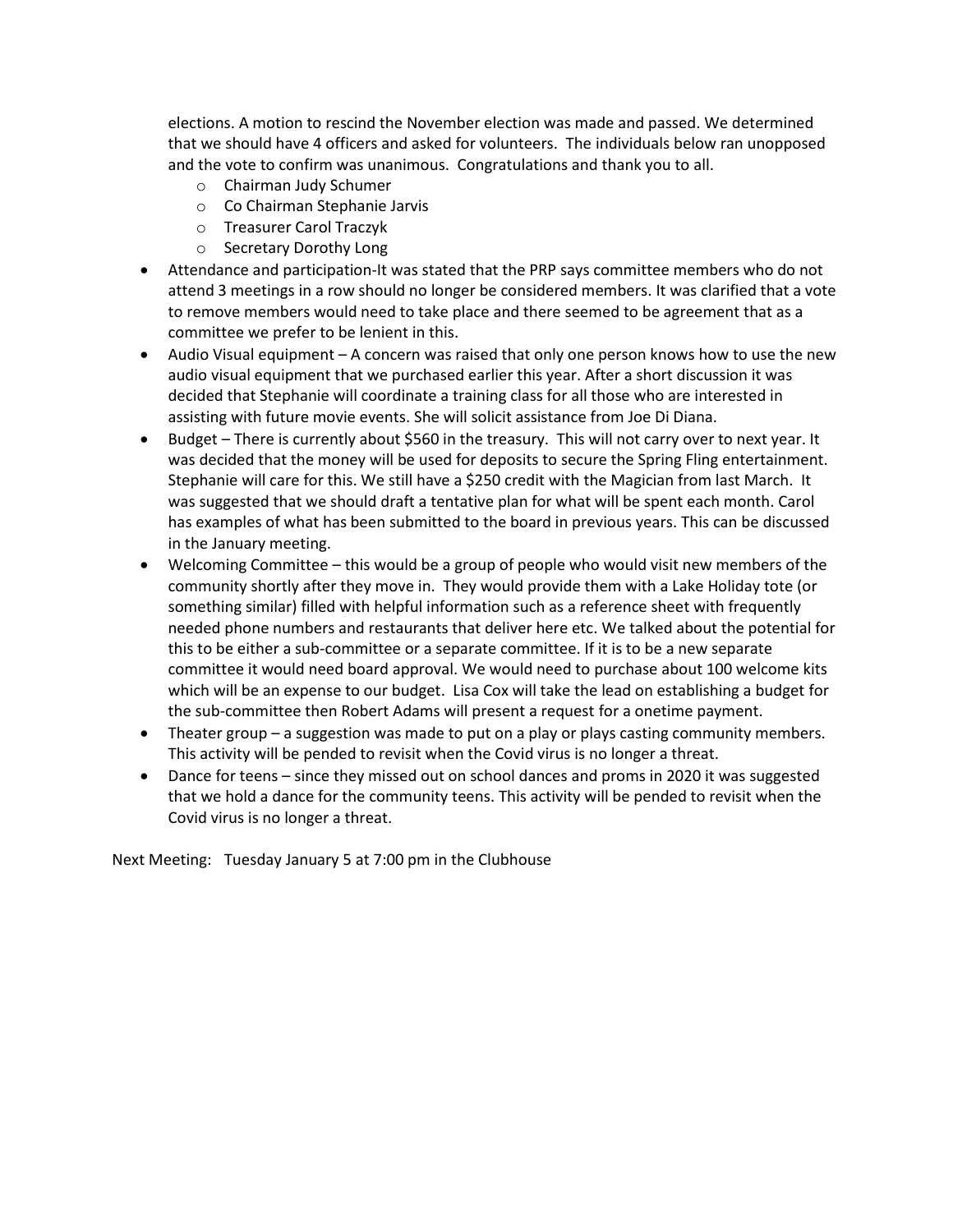elections. A motion to rescind the November election was made and passed. We determined that we should have 4 officers and asked for volunteers. The individuals below ran unopposed and the vote to confirm was unanimous. Congratulations and thank you to all.

- o Chairman Judy Schumer
- o Co Chairman Stephanie Jarvis
- o Treasurer Carol Traczyk
- o Secretary Dorothy Long
- Attendance and participation-It was stated that the PRP says committee members who do not attend 3 meetings in a row should no longer be considered members. It was clarified that a vote to remove members would need to take place and there seemed to be agreement that as a committee we prefer to be lenient in this.
- Audio Visual equipment A concern was raised that only one person knows how to use the new audio visual equipment that we purchased earlier this year. After a short discussion it was decided that Stephanie will coordinate a training class for all those who are interested in assisting with future movie events. She will solicit assistance from Joe Di Diana.
- Budget There is currently about \$560 in the treasury. This will not carry over to next year. It was decided that the money will be used for deposits to secure the Spring Fling entertainment. Stephanie will care for this. We still have a \$250 credit with the Magician from last March. It was suggested that we should draft a tentative plan for what will be spent each month. Carol has examples of what has been submitted to the board in previous years. This can be discussed in the January meeting.
- Welcoming Committee this would be a group of people who would visit new members of the community shortly after they move in. They would provide them with a Lake Holiday tote (or something similar) filled with helpful information such as a reference sheet with frequently needed phone numbers and restaurants that deliver here etc. We talked about the potential for this to be either a sub-committee or a separate committee. If it is to be a new separate committee it would need board approval. We would need to purchase about 100 welcome kits which will be an expense to our budget. Lisa Cox will take the lead on establishing a budget for the sub-committee then Robert Adams will present a request for a onetime payment.
- Theater group a suggestion was made to put on a play or plays casting community members. This activity will be pended to revisit when the Covid virus is no longer a threat.
- Dance for teens since they missed out on school dances and proms in 2020 it was suggested that we hold a dance for the community teens. This activity will be pended to revisit when the Covid virus is no longer a threat.

Next Meeting: Tuesday January 5 at 7:00 pm in the Clubhouse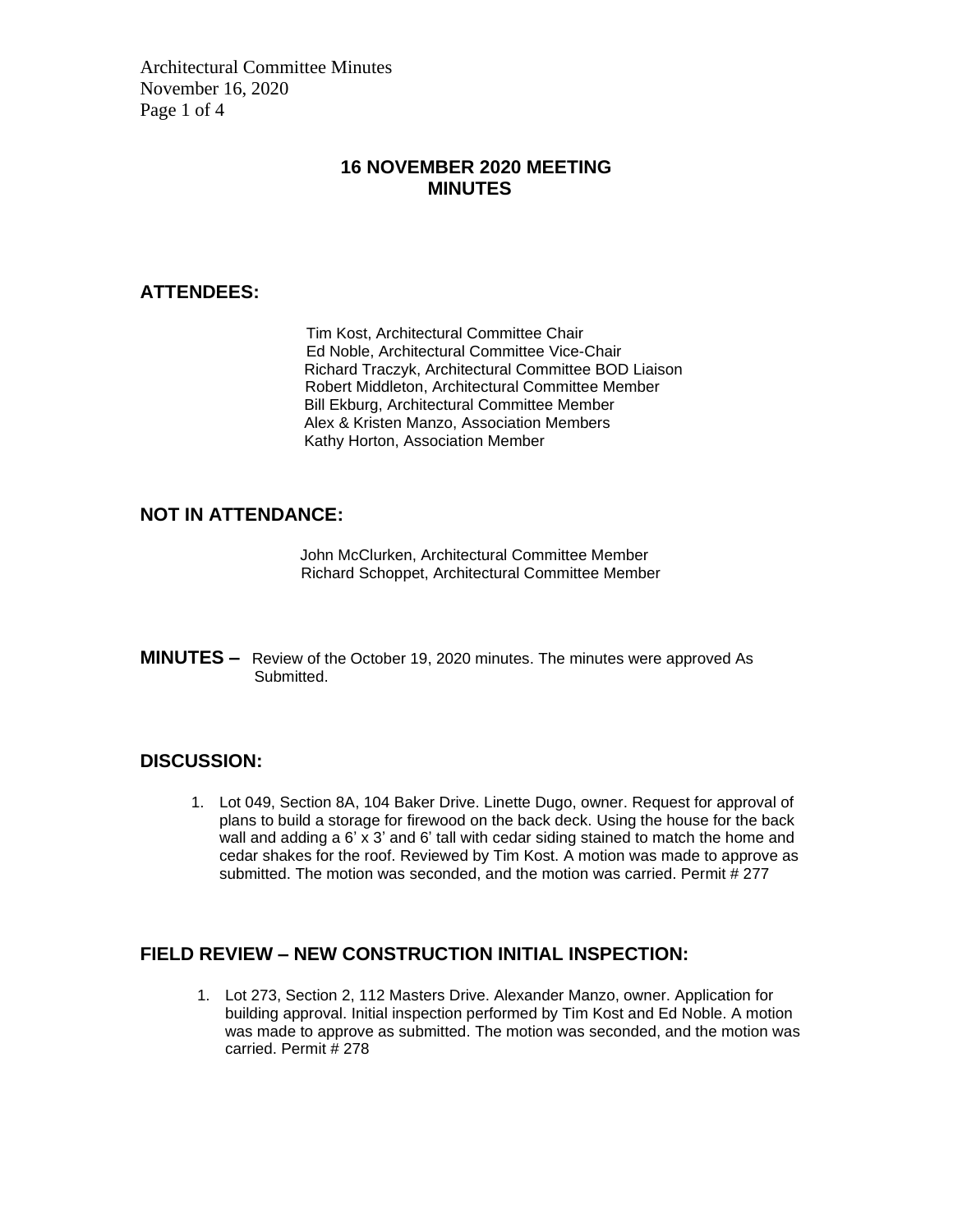Architectural Committee Minutes November 16, 2020 Page 1 of 4

## **16 NOVEMBER 2020 MEETING MINUTES**

#### **ATTENDEES:**

Tim Kost, Architectural Committee Chair Ed Noble, Architectural Committee Vice-Chair Richard Traczyk, Architectural Committee BOD Liaison Robert Middleton, Architectural Committee Member Bill Ekburg, Architectural Committee Member Alex & Kristen Manzo, Association Members Kathy Horton, Association Member

# **NOT IN ATTENDANCE:**

John McClurken, Architectural Committee Member Richard Schoppet, Architectural Committee Member

**MINUTES –** Review of the October 19, 2020 minutes. The minutes were approved As Submitted.

#### **DISCUSSION:**

1. Lot 049, Section 8A, 104 Baker Drive. Linette Dugo, owner. Request for approval of plans to build a storage for firewood on the back deck. Using the house for the back wall and adding a 6' x 3' and 6' tall with cedar siding stained to match the home and cedar shakes for the roof. Reviewed by Tim Kost. A motion was made to approve as submitted. The motion was seconded, and the motion was carried. Permit # 277

#### **FIELD REVIEW – NEW CONSTRUCTION INITIAL INSPECTION:**

1. Lot 273, Section 2, 112 Masters Drive. Alexander Manzo, owner. Application for building approval. Initial inspection performed by Tim Kost and Ed Noble. A motion was made to approve as submitted. The motion was seconded, and the motion was carried. Permit # 278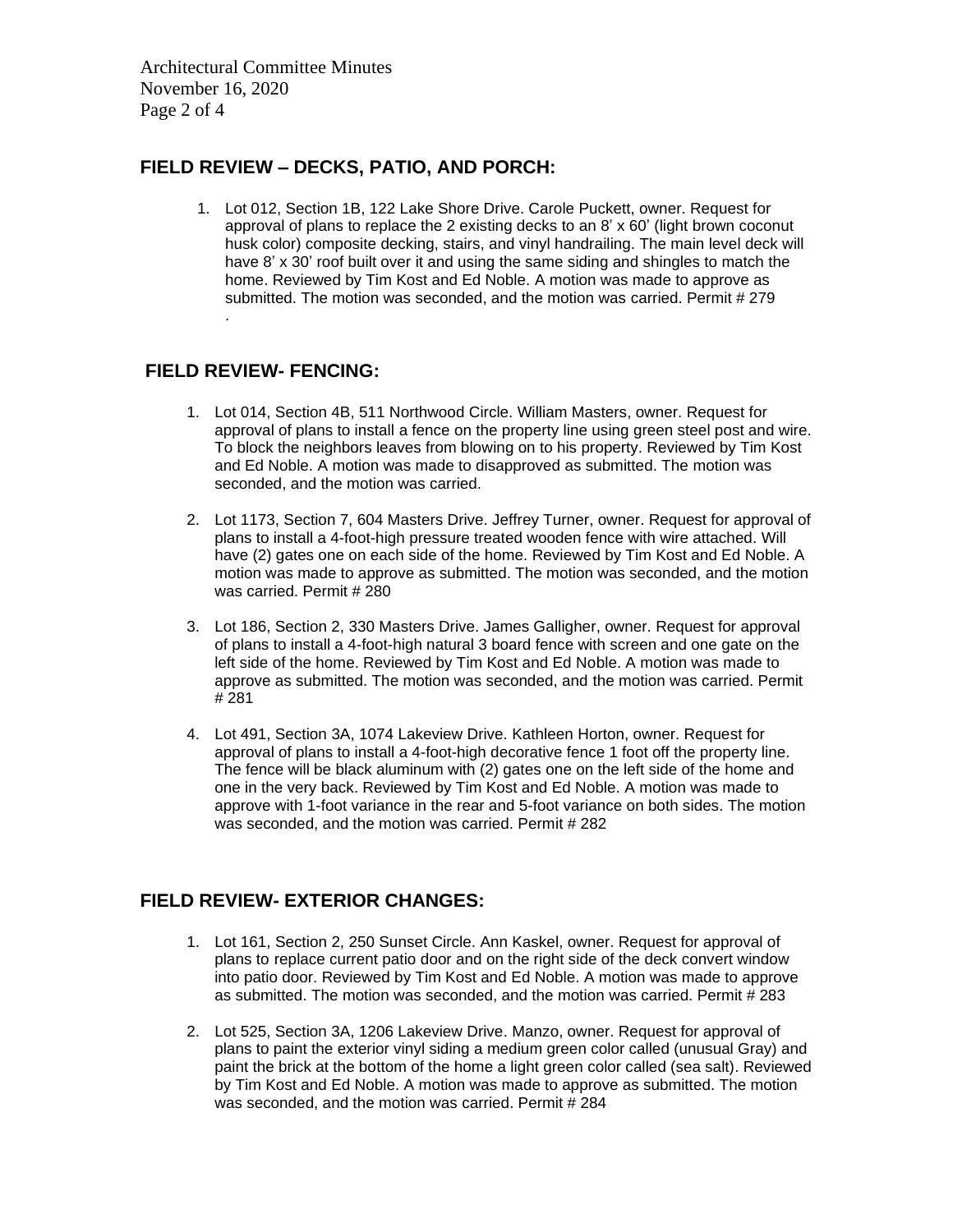Architectural Committee Minutes November 16, 2020 Page 2 of 4

## **FIELD REVIEW – DECKS, PATIO, AND PORCH:**

1. Lot 012, Section 1B, 122 Lake Shore Drive. Carole Puckett, owner. Request for approval of plans to replace the 2 existing decks to an 8' x 60' (light brown coconut husk color) composite decking, stairs, and vinyl handrailing. The main level deck will have 8' x 30' roof built over it and using the same siding and shingles to match the home. Reviewed by Tim Kost and Ed Noble. A motion was made to approve as submitted. The motion was seconded, and the motion was carried. Permit # 279 .

#### **FIELD REVIEW- FENCING:**

- 1. Lot 014, Section 4B, 511 Northwood Circle. William Masters, owner. Request for approval of plans to install a fence on the property line using green steel post and wire. To block the neighbors leaves from blowing on to his property. Reviewed by Tim Kost and Ed Noble. A motion was made to disapproved as submitted. The motion was seconded, and the motion was carried.
- 2. Lot 1173, Section 7, 604 Masters Drive. Jeffrey Turner, owner. Request for approval of plans to install a 4-foot-high pressure treated wooden fence with wire attached. Will have (2) gates one on each side of the home. Reviewed by Tim Kost and Ed Noble. A motion was made to approve as submitted. The motion was seconded, and the motion was carried. Permit # 280
- 3. Lot 186, Section 2, 330 Masters Drive. James Galligher, owner. Request for approval of plans to install a 4-foot-high natural 3 board fence with screen and one gate on the left side of the home. Reviewed by Tim Kost and Ed Noble. A motion was made to approve as submitted. The motion was seconded, and the motion was carried. Permit # 281
- 4. Lot 491, Section 3A, 1074 Lakeview Drive. Kathleen Horton, owner. Request for approval of plans to install a 4-foot-high decorative fence 1 foot off the property line. The fence will be black aluminum with (2) gates one on the left side of the home and one in the very back. Reviewed by Tim Kost and Ed Noble. A motion was made to approve with 1-foot variance in the rear and 5-foot variance on both sides. The motion was seconded, and the motion was carried. Permit # 282

# **FIELD REVIEW- EXTERIOR CHANGES:**

- 1. Lot 161, Section 2, 250 Sunset Circle. Ann Kaskel, owner. Request for approval of plans to replace current patio door and on the right side of the deck convert window into patio door. Reviewed by Tim Kost and Ed Noble. A motion was made to approve as submitted. The motion was seconded, and the motion was carried. Permit # 283
- 2. Lot 525, Section 3A, 1206 Lakeview Drive. Manzo, owner. Request for approval of plans to paint the exterior vinyl siding a medium green color called (unusual Gray) and paint the brick at the bottom of the home a light green color called (sea salt). Reviewed by Tim Kost and Ed Noble. A motion was made to approve as submitted. The motion was seconded, and the motion was carried. Permit # 284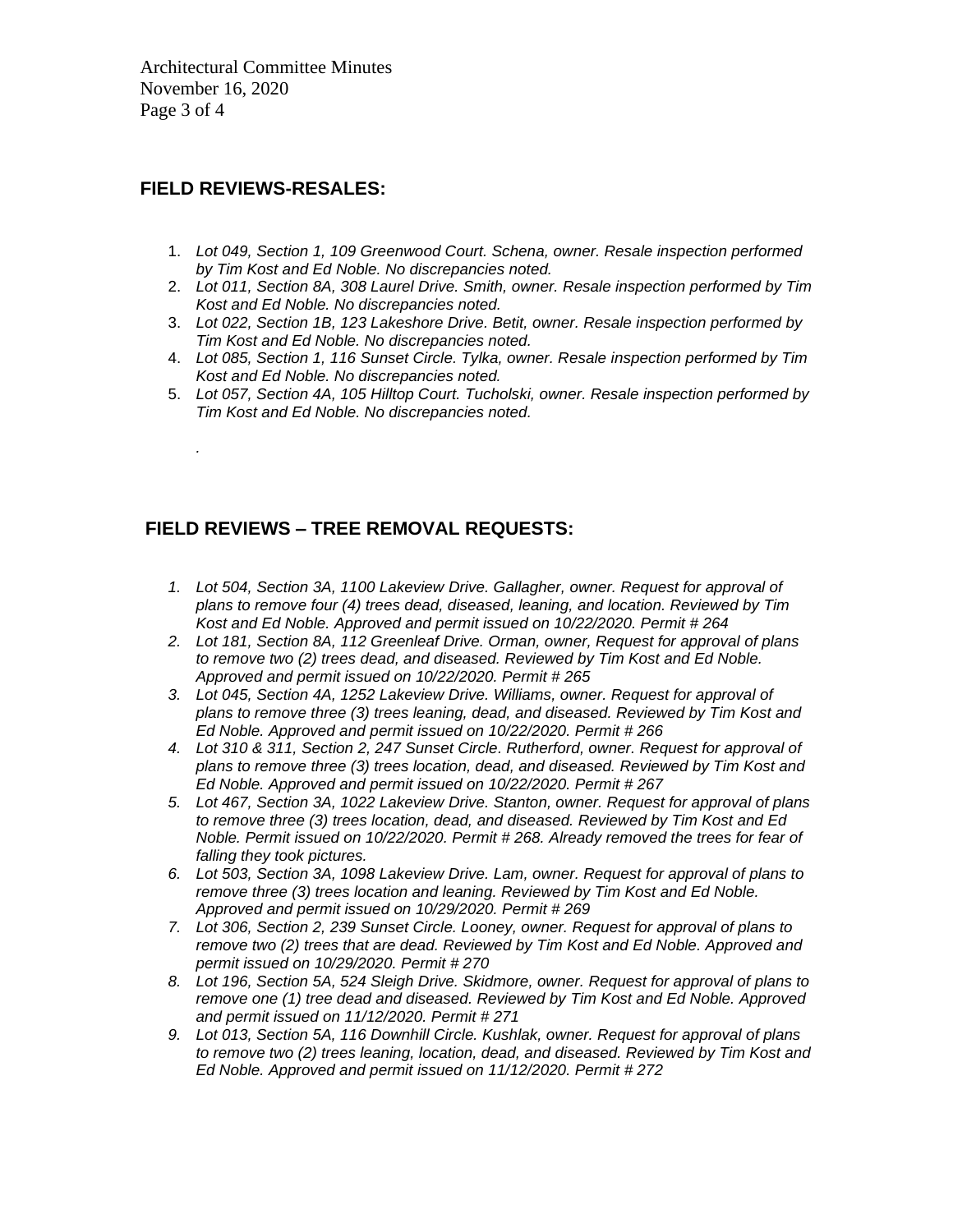Architectural Committee Minutes November 16, 2020 Page 3 of 4

# **FIELD REVIEWS-RESALES:**

*.*

- 1. *Lot 049, Section 1, 109 Greenwood Court. Schena, owner. Resale inspection performed by Tim Kost and Ed Noble. No discrepancies noted.*
- 2. *Lot 011, Section 8A, 308 Laurel Drive. Smith, owner. Resale inspection performed by Tim Kost and Ed Noble. No discrepancies noted.*
- 3. *Lot 022, Section 1B, 123 Lakeshore Drive. Betit, owner. Resale inspection performed by Tim Kost and Ed Noble. No discrepancies noted.*
- 4. *Lot 085, Section 1, 116 Sunset Circle. Tylka, owner. Resale inspection performed by Tim Kost and Ed Noble. No discrepancies noted.*
- 5. *Lot 057, Section 4A, 105 Hilltop Court. Tucholski, owner. Resale inspection performed by Tim Kost and Ed Noble. No discrepancies noted.*

# **FIELD REVIEWS – TREE REMOVAL REQUESTS:**

- *1. Lot 504, Section 3A, 1100 Lakeview Drive. Gallagher, owner. Request for approval of plans to remove four (4) trees dead, diseased, leaning, and location. Reviewed by Tim Kost and Ed Noble. Approved and permit issued on 10/22/2020. Permit # 264*
- *2. Lot 181, Section 8A, 112 Greenleaf Drive. Orman, owner, Request for approval of plans to remove two (2) trees dead, and diseased. Reviewed by Tim Kost and Ed Noble. Approved and permit issued on 10/22/2020. Permit # 265*
- *3. Lot 045, Section 4A, 1252 Lakeview Drive. Williams, owner. Request for approval of plans to remove three (3) trees leaning, dead, and diseased. Reviewed by Tim Kost and Ed Noble. Approved and permit issued on 10/22/2020. Permit # 266*
- *4. Lot 310 & 311, Section 2, 247 Sunset Circle. Rutherford, owner. Request for approval of plans to remove three (3) trees location, dead, and diseased. Reviewed by Tim Kost and Ed Noble. Approved and permit issued on 10/22/2020. Permit # 267*
- *5. Lot 467, Section 3A, 1022 Lakeview Drive. Stanton, owner. Request for approval of plans to remove three (3) trees location, dead, and diseased. Reviewed by Tim Kost and Ed Noble. Permit issued on 10/22/2020. Permit # 268. Already removed the trees for fear of falling they took pictures.*
- *6. Lot 503, Section 3A, 1098 Lakeview Drive. Lam, owner. Request for approval of plans to remove three (3) trees location and leaning. Reviewed by Tim Kost and Ed Noble. Approved and permit issued on 10/29/2020. Permit # 269*
- *7. Lot 306, Section 2, 239 Sunset Circle. Looney, owner. Request for approval of plans to remove two (2) trees that are dead. Reviewed by Tim Kost and Ed Noble. Approved and permit issued on 10/29/2020. Permit # 270*
- *8. Lot 196, Section 5A, 524 Sleigh Drive. Skidmore, owner. Request for approval of plans to remove one (1) tree dead and diseased. Reviewed by Tim Kost and Ed Noble. Approved and permit issued on 11/12/2020. Permit # 271*
- *9. Lot 013, Section 5A, 116 Downhill Circle. Kushlak, owner. Request for approval of plans to remove two (2) trees leaning, location, dead, and diseased. Reviewed by Tim Kost and Ed Noble. Approved and permit issued on 11/12/2020. Permit # 272*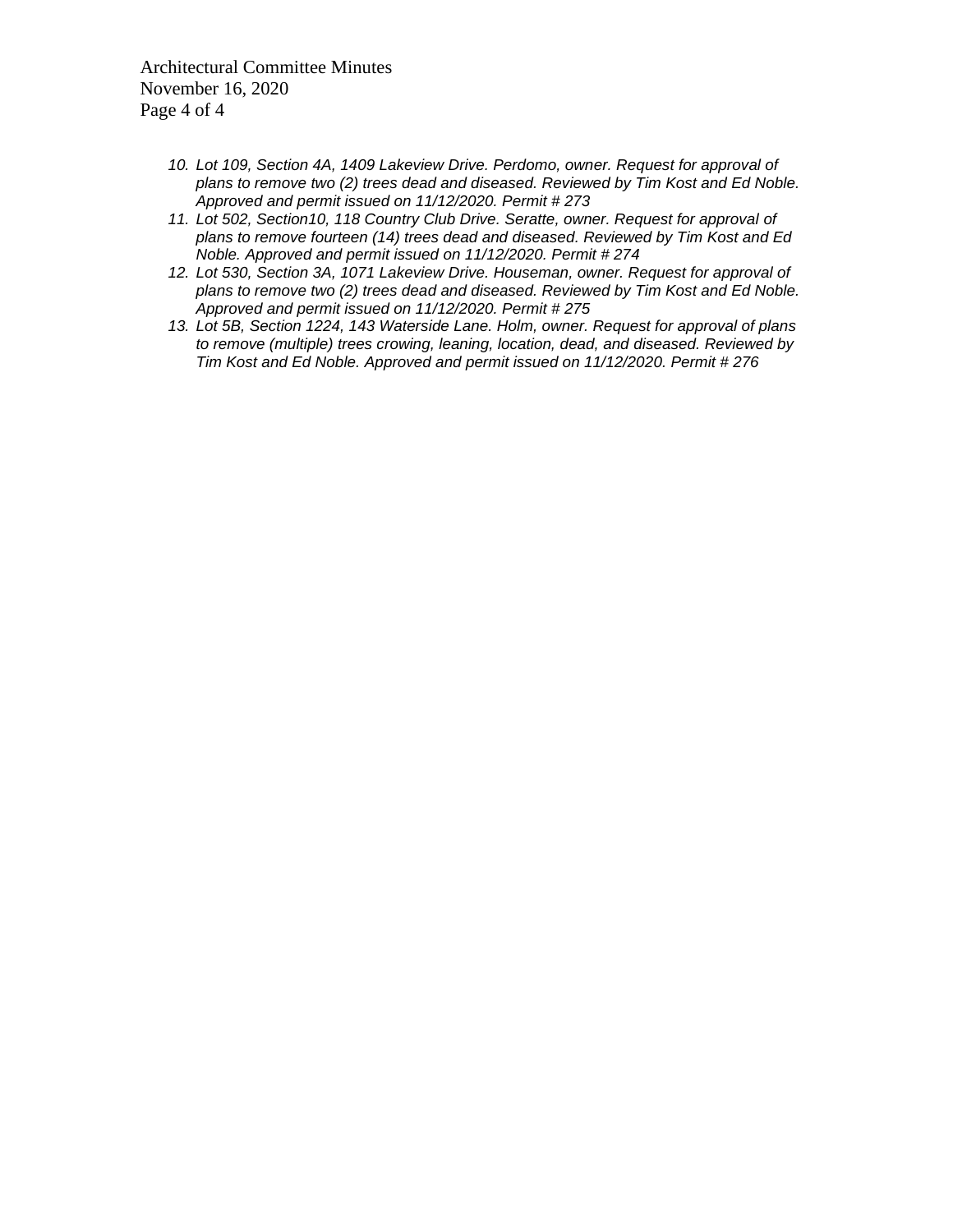Architectural Committee Minutes November 16, 2020 Page 4 of 4

- *10. Lot 109, Section 4A, 1409 Lakeview Drive. Perdomo, owner. Request for approval of plans to remove two (2) trees dead and diseased. Reviewed by Tim Kost and Ed Noble. Approved and permit issued on 11/12/2020. Permit # 273*
- *11. Lot 502, Section10, 118 Country Club Drive. Seratte, owner. Request for approval of plans to remove fourteen (14) trees dead and diseased. Reviewed by Tim Kost and Ed Noble. Approved and permit issued on 11/12/2020. Permit # 274*
- *12. Lot 530, Section 3A, 1071 Lakeview Drive. Houseman, owner. Request for approval of plans to remove two (2) trees dead and diseased. Reviewed by Tim Kost and Ed Noble. Approved and permit issued on 11/12/2020. Permit # 275*
- *13. Lot 5B, Section 1224, 143 Waterside Lane. Holm, owner. Request for approval of plans to remove (multiple) trees crowing, leaning, location, dead, and diseased. Reviewed by Tim Kost and Ed Noble. Approved and permit issued on 11/12/2020. Permit # 276*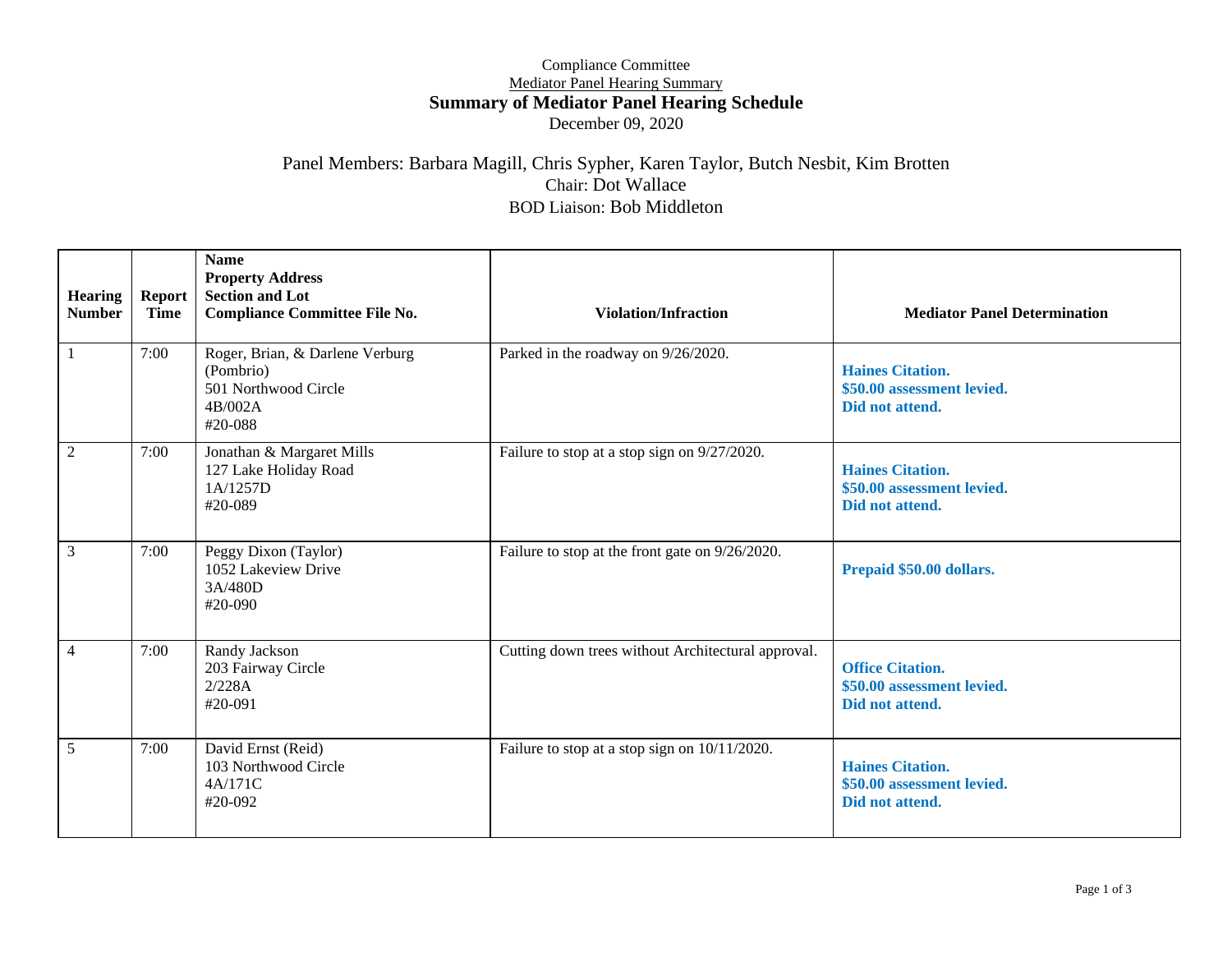#### Compliance Committee Mediator Panel Hearing Summary **Summary of Mediator Panel Hearing Schedule** December 09, 2020

#### Panel Members: Barbara Magill, Chris Sypher, Karen Taylor, Butch Nesbit, Kim Brotten Chair: Dot Wallace BOD Liaison: Bob Middleton

| <b>Hearing</b><br><b>Number</b> | <b>Report</b><br>Time | <b>Name</b><br><b>Property Address</b><br><b>Section and Lot</b><br><b>Compliance Committee File No.</b> | <b>Violation/Infraction</b>                        | <b>Mediator Panel Determination</b>                                      |
|---------------------------------|-----------------------|----------------------------------------------------------------------------------------------------------|----------------------------------------------------|--------------------------------------------------------------------------|
| 1                               | 7:00                  | Roger, Brian, & Darlene Verburg<br>(Pombrio)<br>501 Northwood Circle<br>4B/002A<br>#20-088               | Parked in the roadway on 9/26/2020.                | <b>Haines Citation.</b><br>\$50.00 assessment levied.<br>Did not attend. |
| $\overline{2}$                  | 7:00                  | Jonathan & Margaret Mills<br>127 Lake Holiday Road<br>1A/1257D<br>#20-089                                | Failure to stop at a stop sign on 9/27/2020.       | <b>Haines Citation.</b><br>\$50.00 assessment levied.<br>Did not attend. |
| $\overline{3}$                  | 7:00                  | Peggy Dixon (Taylor)<br>1052 Lakeview Drive<br>3A/480D<br>#20-090                                        | Failure to stop at the front gate on 9/26/2020.    | Prepaid \$50.00 dollars.                                                 |
| $\overline{4}$                  | 7:00                  | Randy Jackson<br>203 Fairway Circle<br>2/228A<br>#20-091                                                 | Cutting down trees without Architectural approval. | <b>Office Citation.</b><br>\$50.00 assessment levied.<br>Did not attend. |
| 5 <sup>5</sup>                  | 7:00                  | David Ernst (Reid)<br>103 Northwood Circle<br>4A/171C<br>#20-092                                         | Failure to stop at a stop sign on 10/11/2020.      | <b>Haines Citation.</b><br>\$50.00 assessment levied.<br>Did not attend. |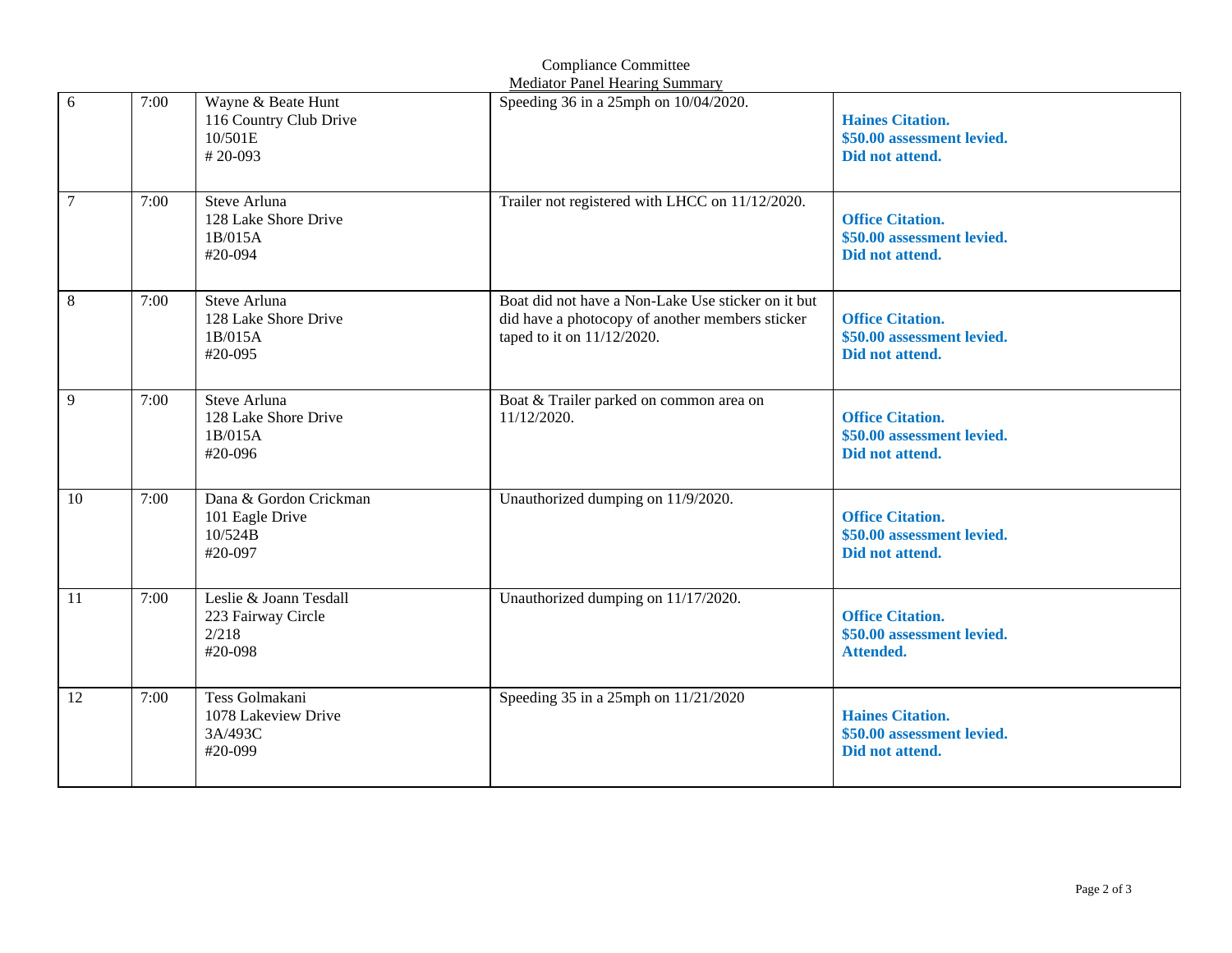|                |      |                                                                    | <b>Mediator Panel Hearing Summary</b>                                                                                                  |                                                                           |
|----------------|------|--------------------------------------------------------------------|----------------------------------------------------------------------------------------------------------------------------------------|---------------------------------------------------------------------------|
| 6              | 7:00 | Wayne & Beate Hunt<br>116 Country Club Drive<br>10/501E<br>#20-093 | Speeding 36 in a 25mph on 10/04/2020.                                                                                                  | <b>Haines Citation.</b><br>\$50.00 assessment levied.<br>Did not attend.  |
| $\overline{7}$ | 7:00 | Steve Arluna<br>128 Lake Shore Drive<br>1B/015A<br>#20-094         | Trailer not registered with LHCC on 11/12/2020.                                                                                        | <b>Office Citation.</b><br>\$50.00 assessment levied.<br>Did not attend.  |
| $\,8\,$        | 7:00 | Steve Arluna<br>128 Lake Shore Drive<br>1B/015A<br>#20-095         | Boat did not have a Non-Lake Use sticker on it but<br>did have a photocopy of another members sticker<br>taped to it on $11/12/2020$ . | <b>Office Citation.</b><br>\$50.00 assessment levied.<br>Did not attend.  |
| 9              | 7:00 | Steve Arluna<br>128 Lake Shore Drive<br>1B/015A<br>#20-096         | Boat & Trailer parked on common area on<br>11/12/2020.                                                                                 | <b>Office Citation.</b><br>\$50.00 assessment levied.<br>Did not attend.  |
| 10             | 7:00 | Dana & Gordon Crickman<br>101 Eagle Drive<br>10/524B<br>#20-097    | Unauthorized dumping on 11/9/2020.                                                                                                     | <b>Office Citation.</b><br>\$50.00 assessment levied.<br>Did not attend.  |
| 11             | 7:00 | Leslie & Joann Tesdall<br>223 Fairway Circle<br>2/218<br>#20-098   | Unauthorized dumping on 11/17/2020.                                                                                                    | <b>Office Citation.</b><br>\$50.00 assessment levied.<br><b>Attended.</b> |
| 12             | 7:00 | Tess Golmakani<br>1078 Lakeview Drive<br>3A/493C<br>#20-099        | Speeding 35 in a 25mph on 11/21/2020                                                                                                   | <b>Haines Citation.</b><br>\$50.00 assessment levied.<br>Did not attend.  |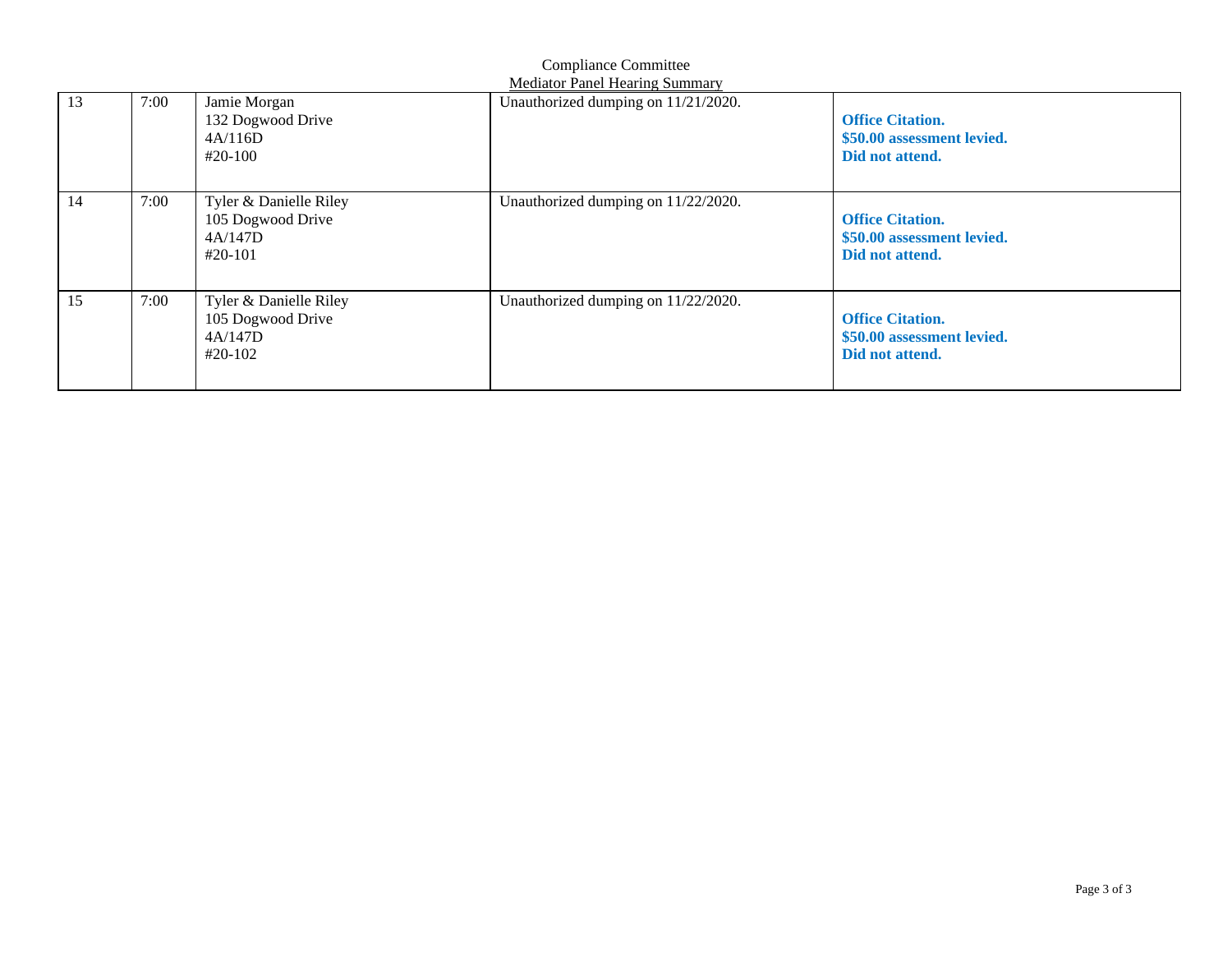| <b>Compliance Committee</b><br><b>Mediator Panel Hearing Summary</b> |      |                                                                     |                                     |                                                                          |
|----------------------------------------------------------------------|------|---------------------------------------------------------------------|-------------------------------------|--------------------------------------------------------------------------|
| 13                                                                   | 7:00 | Jamie Morgan<br>132 Dogwood Drive<br>4A/116D<br>$#20-100$           | Unauthorized dumping on 11/21/2020. | <b>Office Citation.</b><br>\$50.00 assessment levied.<br>Did not attend. |
| 14                                                                   | 7:00 | Tyler & Danielle Riley<br>105 Dogwood Drive<br>4A/147D<br>$#20-101$ | Unauthorized dumping on 11/22/2020. | <b>Office Citation.</b><br>\$50.00 assessment levied.<br>Did not attend. |
| 15                                                                   | 7:00 | Tyler & Danielle Riley<br>105 Dogwood Drive<br>4A/147D<br>#20-102   | Unauthorized dumping on 11/22/2020. | <b>Office Citation.</b><br>\$50.00 assessment levied.<br>Did not attend. |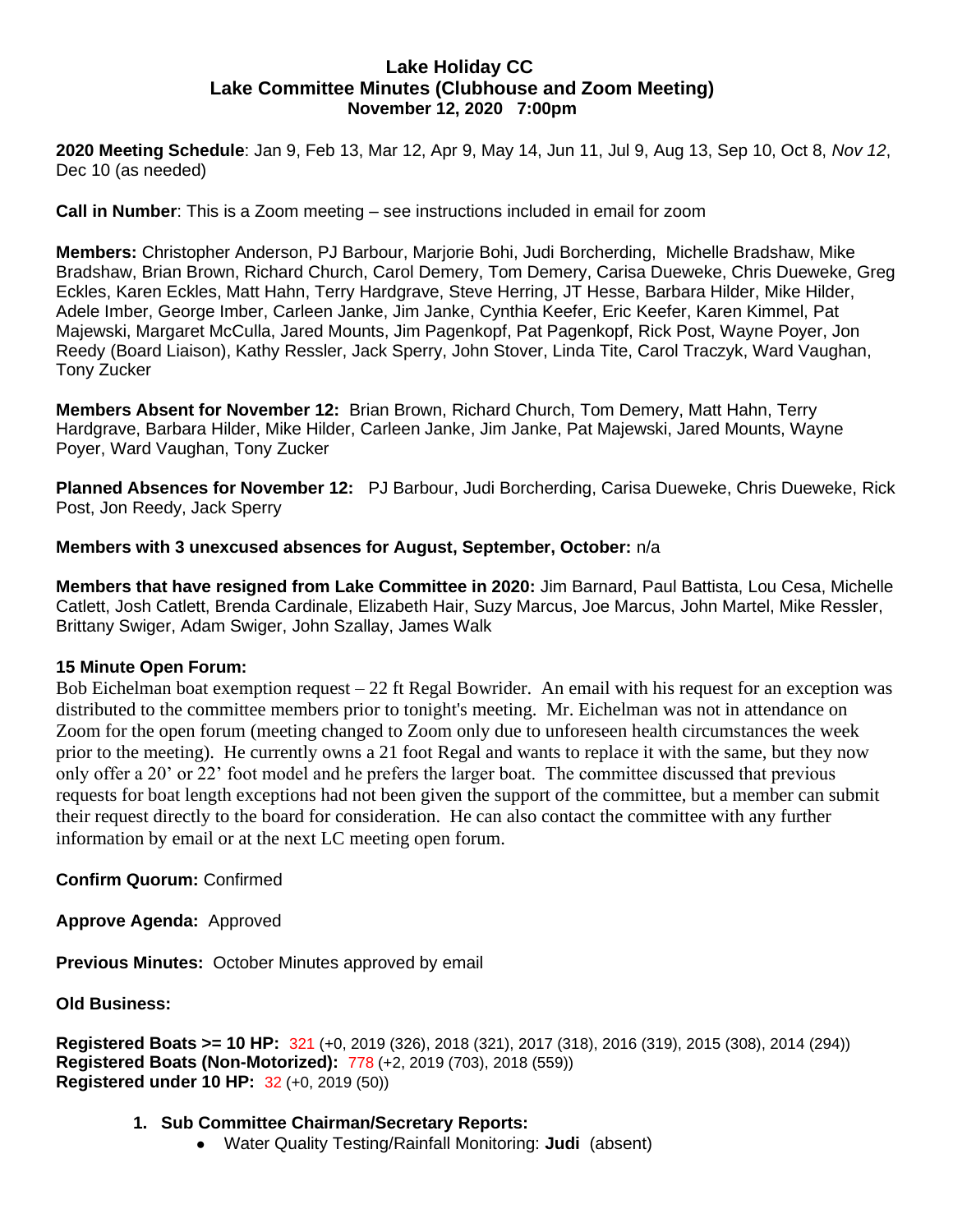## **Lake Holiday CC Lake Committee Minutes (Clubhouse and Zoom Meeting) November 12, 2020 7:00pm**

**2020 Meeting Schedule**: Jan 9, Feb 13, Mar 12, Apr 9, May 14, Jun 11, Jul 9, Aug 13, Sep 10, Oct 8, *Nov 12*, Dec 10 (as needed)

**Call in Number**: This is a Zoom meeting – see instructions included in email for zoom

**Members:** Christopher Anderson, PJ Barbour, Marjorie Bohi, Judi Borcherding, Michelle Bradshaw, Mike Bradshaw, Brian Brown, Richard Church, Carol Demery, Tom Demery, Carisa Dueweke, Chris Dueweke, Greg Eckles, Karen Eckles, Matt Hahn, Terry Hardgrave, Steve Herring, JT Hesse, Barbara Hilder, Mike Hilder, Adele Imber, George Imber, Carleen Janke, Jim Janke, Cynthia Keefer, Eric Keefer, Karen Kimmel, Pat Majewski, Margaret McCulla, Jared Mounts, Jim Pagenkopf, Pat Pagenkopf, Rick Post, Wayne Poyer, Jon Reedy (Board Liaison), Kathy Ressler, Jack Sperry, John Stover, Linda Tite, Carol Traczyk, Ward Vaughan, Tony Zucker

**Members Absent for November 12:** Brian Brown, Richard Church, Tom Demery, Matt Hahn, Terry Hardgrave, Barbara Hilder, Mike Hilder, Carleen Janke, Jim Janke, Pat Majewski, Jared Mounts, Wayne Poyer, Ward Vaughan, Tony Zucker

**Planned Absences for November 12:** PJ Barbour, Judi Borcherding, Carisa Dueweke, Chris Dueweke, Rick Post, Jon Reedy, Jack Sperry

#### **Members with 3 unexcused absences for August, September, October:** n/a

**Members that have resigned from Lake Committee in 2020:** Jim Barnard, Paul Battista, Lou Cesa, Michelle Catlett, Josh Catlett, Brenda Cardinale, Elizabeth Hair, Suzy Marcus, Joe Marcus, John Martel, Mike Ressler, Brittany Swiger, Adam Swiger, John Szallay, James Walk

#### **15 Minute Open Forum:**

Bob Eichelman boat exemption request – 22 ft Regal Bowrider. An email with his request for an exception was distributed to the committee members prior to tonight's meeting. Mr. Eichelman was not in attendance on Zoom for the open forum (meeting changed to Zoom only due to unforeseen health circumstances the week prior to the meeting). He currently owns a 21 foot Regal and wants to replace it with the same, but they now only offer a 20' or 22' foot model and he prefers the larger boat. The committee discussed that previous requests for boat length exceptions had not been given the support of the committee, but a member can submit their request directly to the board for consideration. He can also contact the committee with any further information by email or at the next LC meeting open forum.

**Confirm Quorum:** Confirmed

**Approve Agenda:** Approved

**Previous Minutes:** October Minutes approved by email

**Old Business:** 

```
Registered Boats >= 10 HP: 321 (+0, 2019 (326), 2018 (321), 2017 (318), 2016 (319), 2015 (308), 2014 (294))
Registered Boats (Non-Motorized): 778 (+2, 2019 (703), 2018 (559))
Registered under 10 HP: 32 (+0, 2019 (50))
```
- **1. Sub Committee Chairman/Secretary Reports:**
	- Water Quality Testing/Rainfall Monitoring: **Judi** (absent)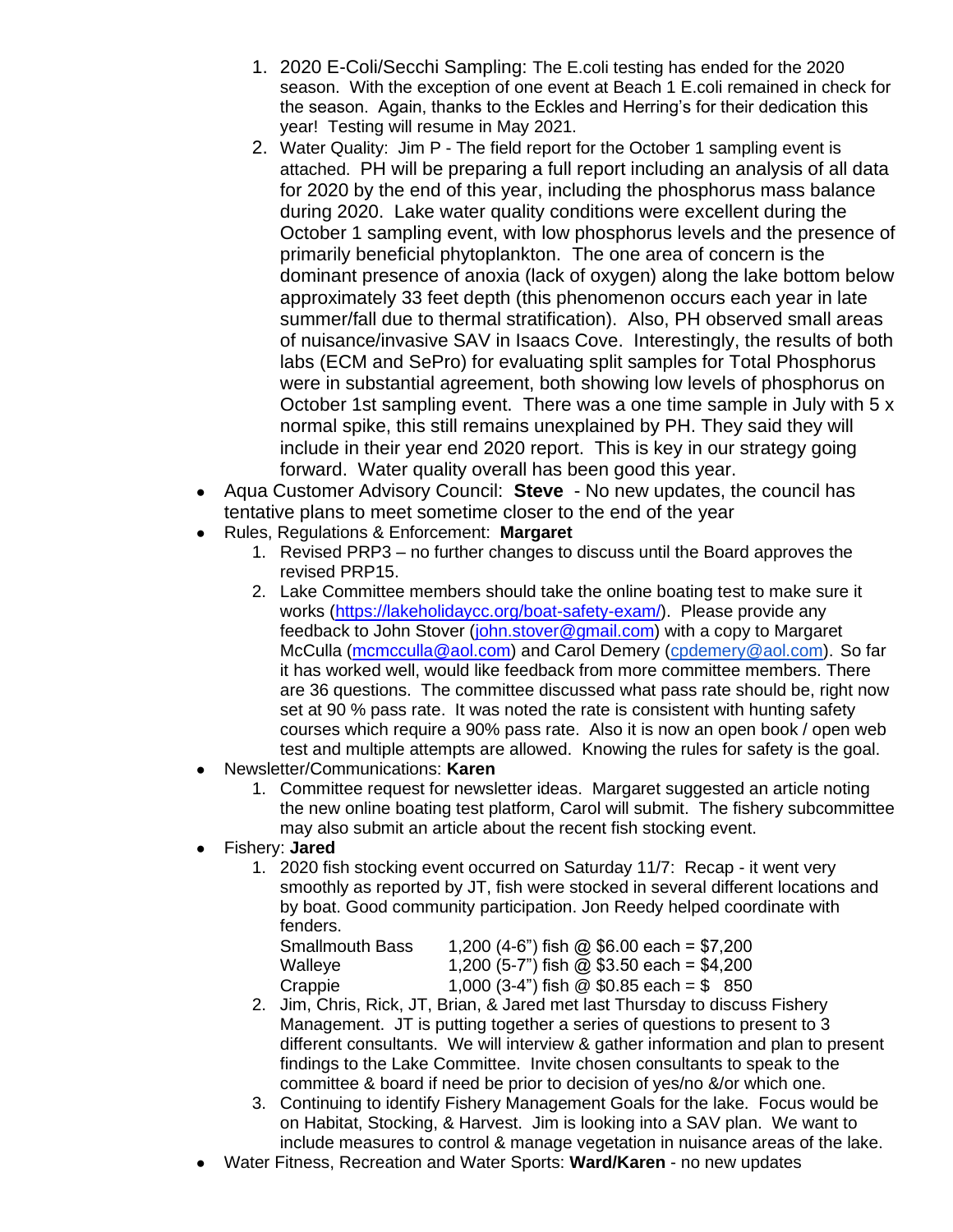- 1. 2020 E-Coli/Secchi Sampling: The E.coli testing has ended for the 2020 season. With the exception of one event at Beach 1 E.coli remained in check for the season. Again, thanks to the Eckles and Herring's for their dedication this year! Testing will resume in May 2021.
- 2. Water Quality: Jim P The field report for the October 1 sampling event is attached. PH will be preparing a full report including an analysis of all data for 2020 by the end of this year, including the phosphorus mass balance during 2020. Lake water quality conditions were excellent during the October 1 sampling event, with low phosphorus levels and the presence of primarily beneficial phytoplankton. The one area of concern is the dominant presence of anoxia (lack of oxygen) along the lake bottom below approximately 33 feet depth (this phenomenon occurs each year in late summer/fall due to thermal stratification). Also, PH observed small areas of nuisance/invasive SAV in Isaacs Cove. Interestingly, the results of both labs (ECM and SePro) for evaluating split samples for Total Phosphorus were in substantial agreement, both showing low levels of phosphorus on October 1st sampling event. There was a one time sample in July with 5 x normal spike, this still remains unexplained by PH. They said they will include in their year end 2020 report. This is key in our strategy going forward. Water quality overall has been good this year.
- Aqua Customer Advisory Council: **Steve** No new updates, the council has tentative plans to meet sometime closer to the end of the year
- Rules, Regulations & Enforcement: **Margaret**
	- 1. Revised PRP3 no further changes to discuss until the Board approves the revised PRP15.
	- 2. Lake Committee members should take the online boating test to make sure it works [\(https://lakeholidaycc.org/boat-safety-exam/\)](https://lakeholidaycc.org/boat-safety-exam/). Please provide any feedback to John Stover [\(john.stover@gmail.com\)](mailto:john.stover@gmail.com) with a copy to Margaret McCulla [\(mcmcculla@aol.com\)](mailto:mcmcculla@aol.com) and Carol Demery [\(cpdemery@aol.com\)](mailto:cpdemery@aol.com). So far it has worked well, would like feedback from more committee members. There are 36 questions. The committee discussed what pass rate should be, right now set at 90 % pass rate. It was noted the rate is consistent with hunting safety courses which require a 90% pass rate. Also it is now an open book / open web test and multiple attempts are allowed. Knowing the rules for safety is the goal.
- Newsletter/Communications: **Karen**
	- 1. Committee request for newsletter ideas. Margaret suggested an article noting the new online boating test platform, Carol will submit. The fishery subcommittee may also submit an article about the recent fish stocking event.
- Fishery: **Jared**
	- 1. 2020 fish stocking event occurred on Saturday 11/7: Recap it went very smoothly as reported by JT, fish were stocked in several different locations and by boat. Good community participation. Jon Reedy helped coordinate with fenders.

| <b>Smallmouth Bass</b> | 1,200 (4-6") fish @ \$6.00 each = \$7,200 |
|------------------------|-------------------------------------------|
| Walleye                | 1,200 (5-7") fish @ \$3.50 each = \$4,200 |
| Crappie                | 1,000 (3-4") fish @ $$0.85$ each = $$850$ |

- 2. Jim, Chris, Rick, JT, Brian, & Jared met last Thursday to discuss Fishery Management. JT is putting together a series of questions to present to 3 different consultants. We will interview & gather information and plan to present findings to the Lake Committee. Invite chosen consultants to speak to the committee & board if need be prior to decision of yes/no &/or which one.
- 3. Continuing to identify Fishery Management Goals for the lake. Focus would be on Habitat, Stocking, & Harvest. Jim is looking into a SAV plan. We want to include measures to control & manage vegetation in nuisance areas of the lake.
- Water Fitness, Recreation and Water Sports: Ward/Karen no new updates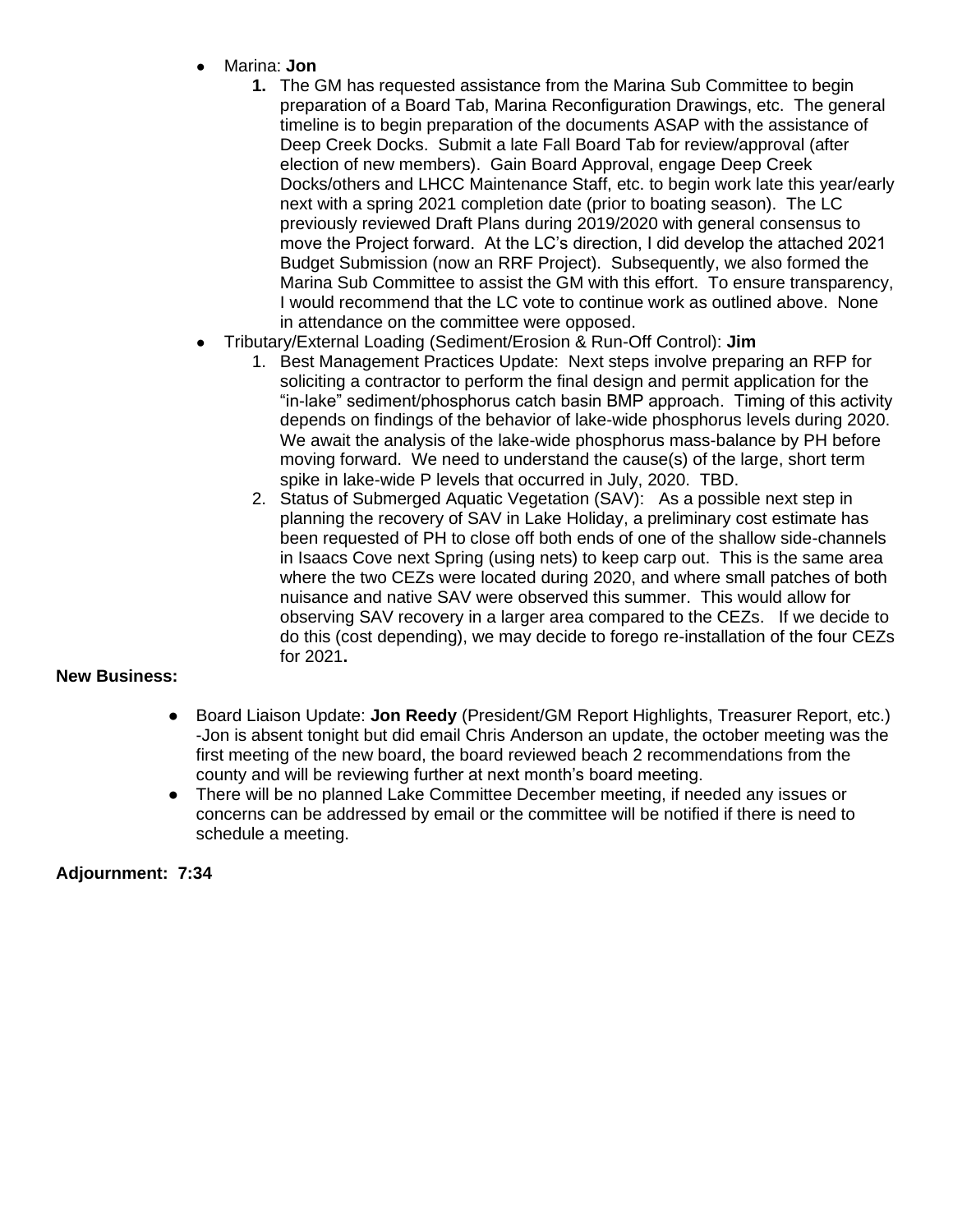- Marina: **Jon**
	- **1.** The GM has requested assistance from the Marina Sub Committee to begin preparation of a Board Tab, Marina Reconfiguration Drawings, etc. The general timeline is to begin preparation of the documents ASAP with the assistance of Deep Creek Docks. Submit a late Fall Board Tab for review/approval (after election of new members). Gain Board Approval, engage Deep Creek Docks/others and LHCC Maintenance Staff, etc. to begin work late this year/early next with a spring 2021 completion date (prior to boating season). The LC previously reviewed Draft Plans during 2019/2020 with general consensus to move the Project forward. At the LC's direction, I did develop the attached 2021 Budget Submission (now an RRF Project). Subsequently, we also formed the Marina Sub Committee to assist the GM with this effort. To ensure transparency, I would recommend that the LC vote to continue work as outlined above. None in attendance on the committee were opposed.
- Tributary/External Loading (Sediment/Erosion & Run-Off Control): **Jim**
	- 1. Best Management Practices Update: Next steps involve preparing an RFP for soliciting a contractor to perform the final design and permit application for the "in-lake" sediment/phosphorus catch basin BMP approach. Timing of this activity depends on findings of the behavior of lake-wide phosphorus levels during 2020. We await the analysis of the lake-wide phosphorus mass-balance by PH before moving forward. We need to understand the cause(s) of the large, short term spike in lake-wide P levels that occurred in July, 2020. TBD.
	- 2. Status of Submerged Aquatic Vegetation (SAV): As a possible next step in planning the recovery of SAV in Lake Holiday, a preliminary cost estimate has been requested of PH to close off both ends of one of the shallow side-channels in Isaacs Cove next Spring (using nets) to keep carp out. This is the same area where the two CEZs were located during 2020, and where small patches of both nuisance and native SAV were observed this summer. This would allow for observing SAV recovery in a larger area compared to the CEZs. If we decide to do this (cost depending), we may decide to forego re-installation of the four CEZs for 2021**.**

# **New Business:**

- Board Liaison Update: **Jon Reedy** (President/GM Report Highlights, Treasurer Report, etc.) -Jon is absent tonight but did email Chris Anderson an update, the october meeting was the first meeting of the new board, the board reviewed beach 2 recommendations from the county and will be reviewing further at next month's board meeting.
- There will be no planned Lake Committee December meeting, if needed any issues or concerns can be addressed by email or the committee will be notified if there is need to schedule a meeting.

# **Adjournment: 7:34**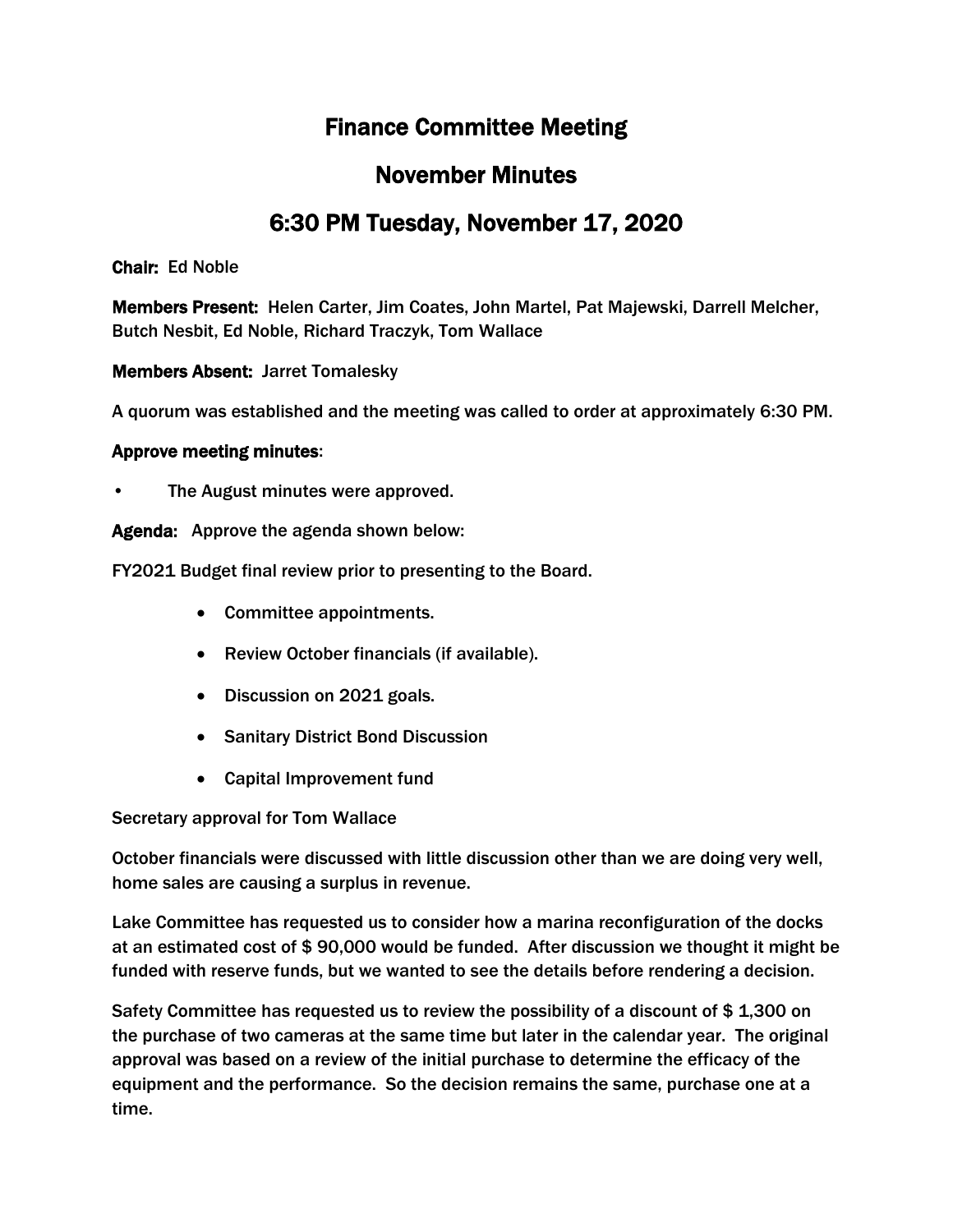# Finance Committee Meeting

# November Minutes

# 6:30 PM Tuesday, November 17, 2020

Chair: Ed Noble

Members Present: Helen Carter, Jim Coates, John Martel, Pat Majewski, Darrell Melcher, Butch Nesbit, Ed Noble, Richard Traczyk, Tom Wallace

Members Absent: Jarret Tomalesky

A quorum was established and the meeting was called to order at approximately 6:30 PM.

## Approve meeting minutes:

The August minutes were approved.

Agenda: Approve the agenda shown below:

FY2021 Budget final review prior to presenting to the Board.

- Committee appointments.
- Review October financials (if available).
- Discussion on 2021 goals.
- Sanitary District Bond Discussion
- Capital Improvement fund

Secretary approval for Tom Wallace

October financials were discussed with little discussion other than we are doing very well, home sales are causing a surplus in revenue.

Lake Committee has requested us to consider how a marina reconfiguration of the docks at an estimated cost of \$ 90,000 would be funded. After discussion we thought it might be funded with reserve funds, but we wanted to see the details before rendering a decision.

Safety Committee has requested us to review the possibility of a discount of \$ 1,300 on the purchase of two cameras at the same time but later in the calendar year. The original approval was based on a review of the initial purchase to determine the efficacy of the equipment and the performance. So the decision remains the same, purchase one at a time.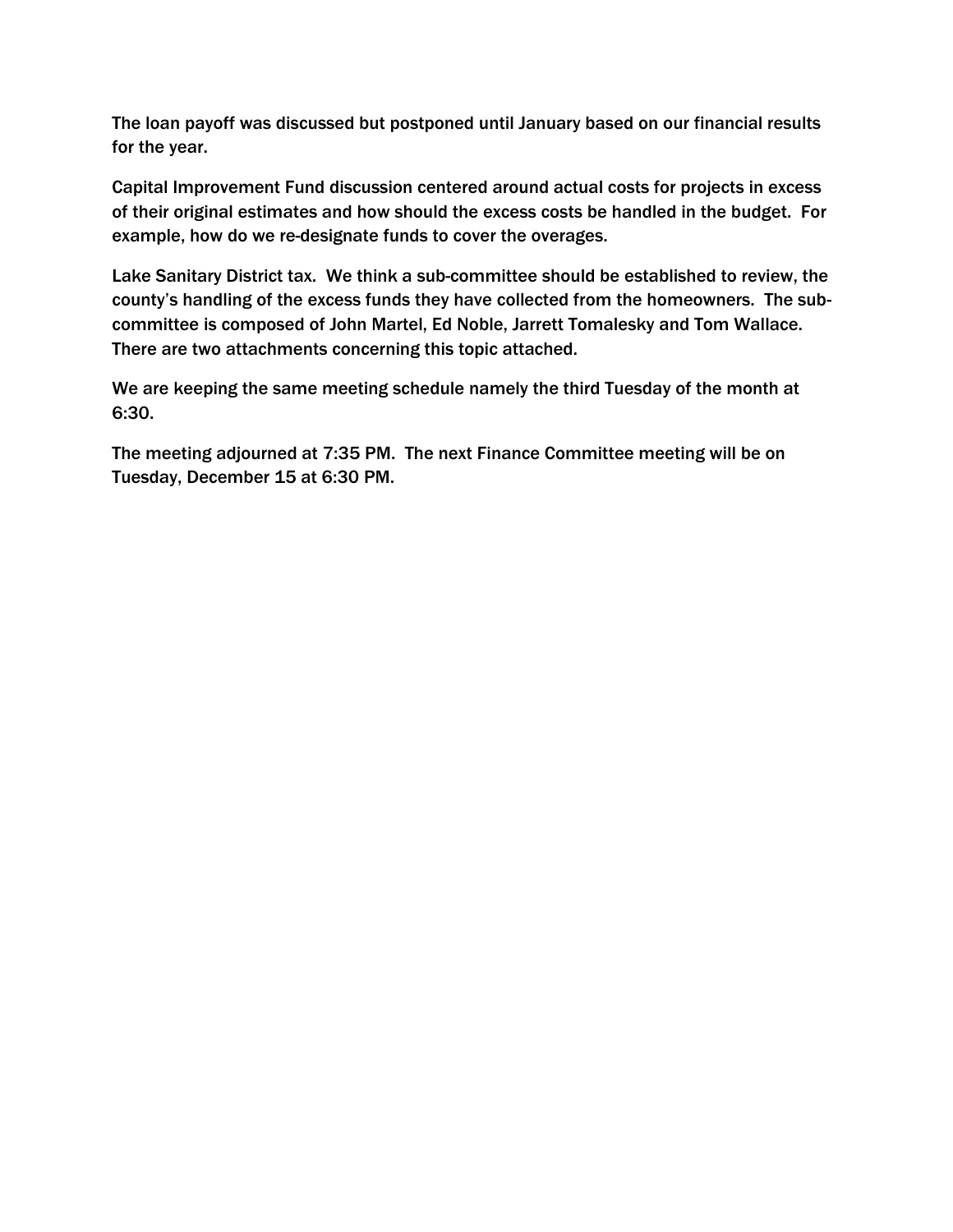The loan payoff was discussed but postponed until January based on our financial results for the year.

Capital Improvement Fund discussion centered around actual costs for projects in excess of their original estimates and how should the excess costs be handled in the budget. For example, how do we re-designate funds to cover the overages.

Lake Sanitary District tax. We think a sub-committee should be established to review, the county's handling of the excess funds they have collected from the homeowners. The subcommittee is composed of John Martel, Ed Noble, Jarrett Tomalesky and Tom Wallace. There are two attachments concerning this topic attached.

We are keeping the same meeting schedule namely the third Tuesday of the month at 6:30.

The meeting adjourned at 7:35 PM. The next Finance Committee meeting will be on Tuesday, December 15 at 6:30 PM.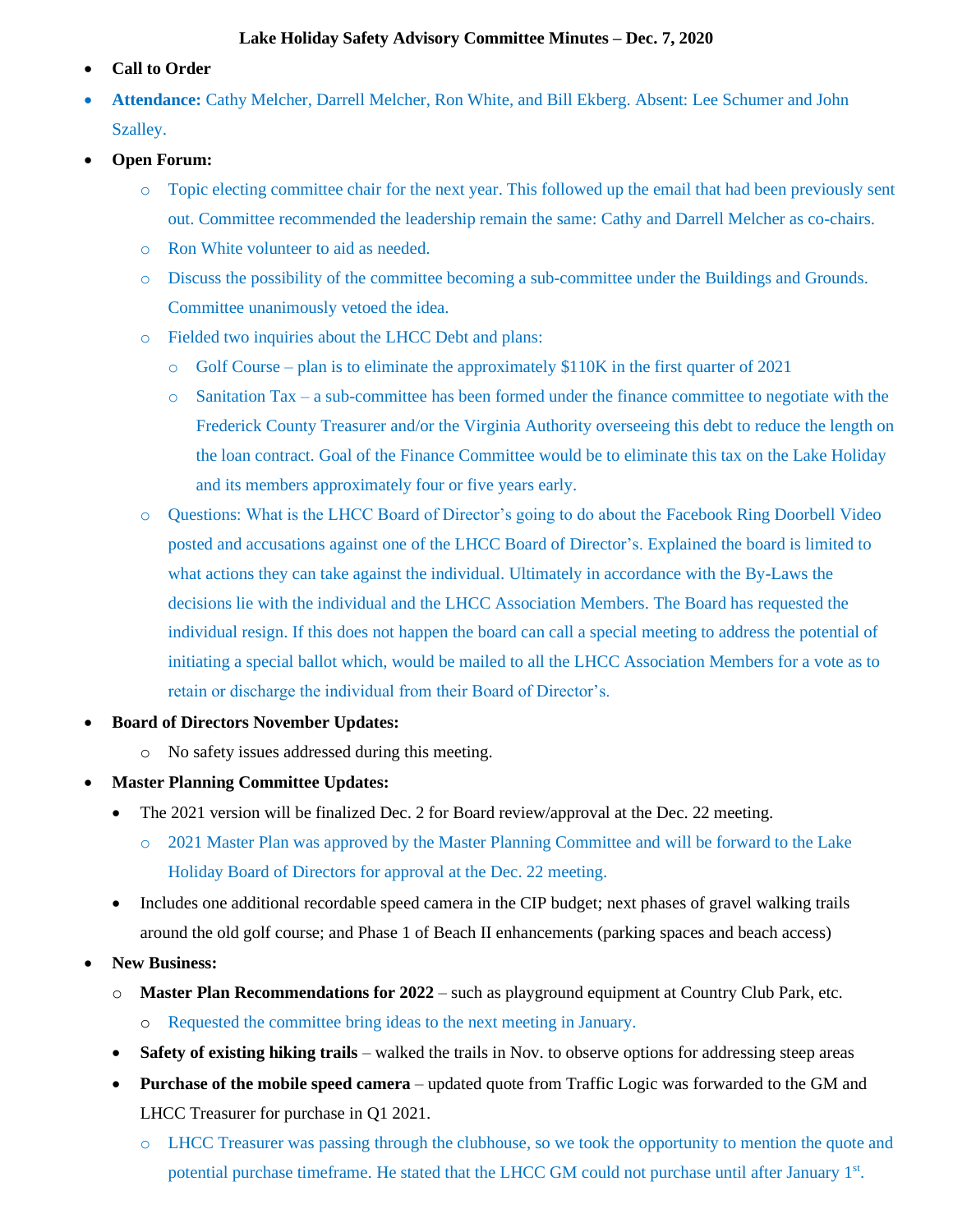#### **Lake Holiday Safety Advisory Committee Minutes – Dec. 7, 2020**

- **Call to Order**
- **Attendance:** Cathy Melcher, Darrell Melcher, Ron White, and Bill Ekberg. Absent: Lee Schumer and John Szalley.
- **Open Forum:**
	- o Topic electing committee chair for the next year. This followed up the email that had been previously sent out. Committee recommended the leadership remain the same: Cathy and Darrell Melcher as co-chairs.
	- o Ron White volunteer to aid as needed.
	- o Discuss the possibility of the committee becoming a sub-committee under the Buildings and Grounds. Committee unanimously vetoed the idea.
	- o Fielded two inquiries about the LHCC Debt and plans:
		- $\circ$  Golf Course plan is to eliminate the approximately \$110K in the first quarter of 2021
		- $\circ$  Sanitation Tax a sub-committee has been formed under the finance committee to negotiate with the Frederick County Treasurer and/or the Virginia Authority overseeing this debt to reduce the length on the loan contract. Goal of the Finance Committee would be to eliminate this tax on the Lake Holiday and its members approximately four or five years early.
	- o Questions: What is the LHCC Board of Director's going to do about the Facebook Ring Doorbell Video posted and accusations against one of the LHCC Board of Director's. Explained the board is limited to what actions they can take against the individual. Ultimately in accordance with the By-Laws the decisions lie with the individual and the LHCC Association Members. The Board has requested the individual resign. If this does not happen the board can call a special meeting to address the potential of initiating a special ballot which, would be mailed to all the LHCC Association Members for a vote as to retain or discharge the individual from their Board of Director's.
- **Board of Directors November Updates:**
	- o No safety issues addressed during this meeting.
- **Master Planning Committee Updates:**
	- The 2021 version will be finalized Dec. 2 for Board review/approval at the Dec. 22 meeting.
		- o 2021 Master Plan was approved by the Master Planning Committee and will be forward to the Lake Holiday Board of Directors for approval at the Dec. 22 meeting.
	- Includes one additional recordable speed camera in the CIP budget; next phases of gravel walking trails around the old golf course; and Phase 1 of Beach II enhancements (parking spaces and beach access)
- **New Business:**
	- o **Master Plan Recommendations for 2022** such as playground equipment at Country Club Park, etc.
		- o Requested the committee bring ideas to the next meeting in January.
	- **Safety of existing hiking trails** walked the trails in Nov. to observe options for addressing steep areas
	- **Purchase of the mobile speed camera** updated quote from Traffic Logic was forwarded to the GM and LHCC Treasurer for purchase in Q1 2021.
		- o LHCC Treasurer was passing through the clubhouse, so we took the opportunity to mention the quote and potential purchase timeframe. He stated that the LHCC GM could not purchase until after January 1<sup>st</sup>.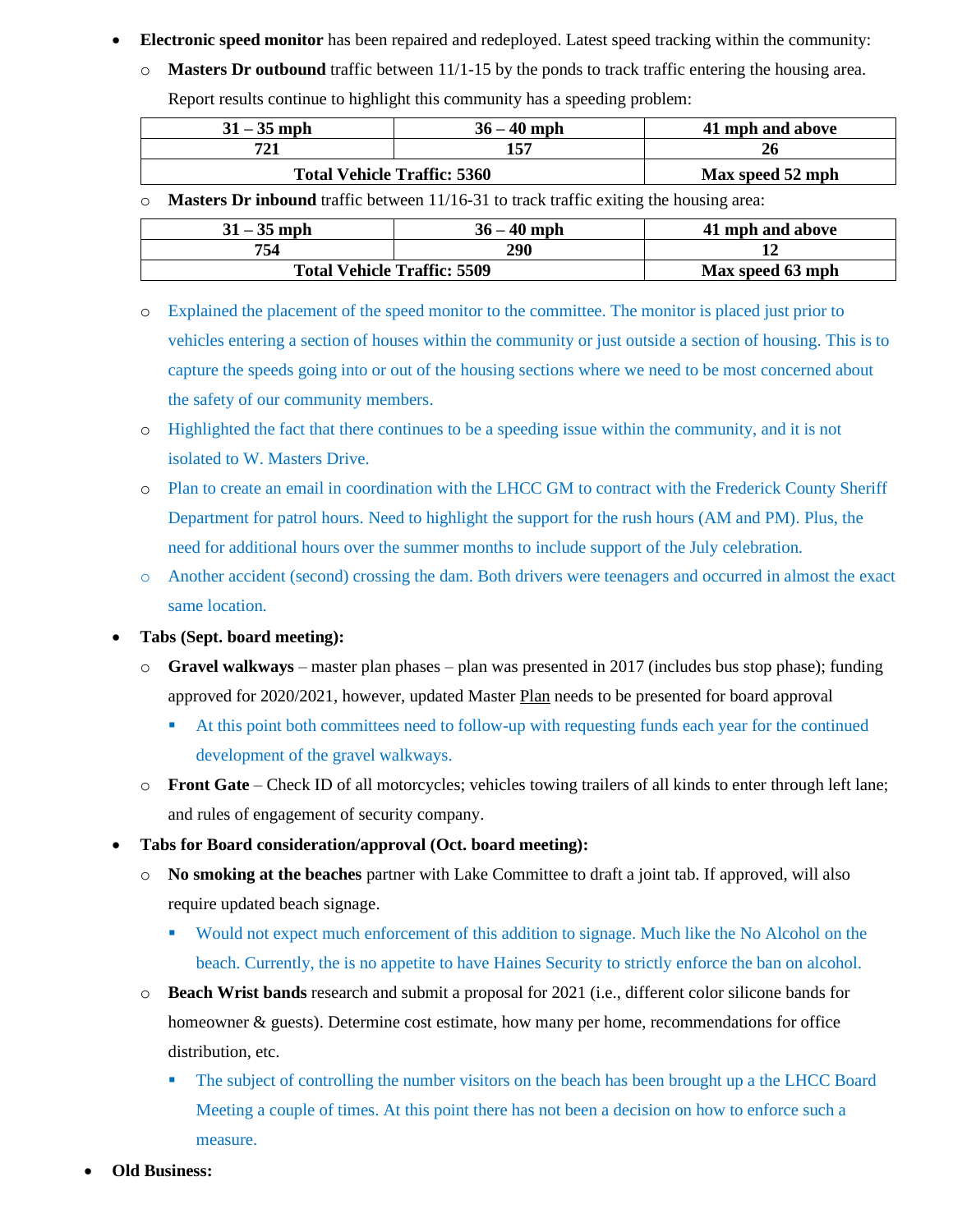- **Electronic speed monitor** has been repaired and redeployed. Latest speed tracking within the community:
	- o **Masters Dr outbound** traffic between 11/1-15 by the ponds to track traffic entering the housing area. Report results continue to highlight this community has a speeding problem:

| $31 - 35$ mph                      | $36 - 40$ mph    | 41 mph and above |
|------------------------------------|------------------|------------------|
| 721                                |                  |                  |
| <b>Total Vehicle Traffic: 5360</b> | Max speed 52 mph |                  |

o **Masters Dr inbound** traffic between 11/16-31 to track traffic exiting the housing area:

| $31 - 35$ mph                      | $36 - 40$ mph    | 41 mph and above |
|------------------------------------|------------------|------------------|
| 754                                | 290              |                  |
| <b>Total Vehicle Traffic: 5509</b> | Max speed 63 mph |                  |

- o Explained the placement of the speed monitor to the committee. The monitor is placed just prior to vehicles entering a section of houses within the community or just outside a section of housing. This is to capture the speeds going into or out of the housing sections where we need to be most concerned about the safety of our community members.
- o Highlighted the fact that there continues to be a speeding issue within the community, and it is not isolated to W. Masters Drive.
- o Plan to create an email in coordination with the LHCC GM to contract with the Frederick County Sheriff Department for patrol hours. Need to highlight the support for the rush hours (AM and PM). Plus, the need for additional hours over the summer months to include support of the July celebration.
- o Another accident (second) crossing the dam. Both drivers were teenagers and occurred in almost the exact same location.
- **Tabs (Sept. board meeting):**
	- o **Gravel walkways** master plan phases plan was presented in 2017 (includes bus stop phase); funding approved for 2020/2021, however, updated Master Plan needs to be presented for board approval
		- At this point both committees need to follow-up with requesting funds each year for the continued development of the gravel walkways.
	- o **Front Gate** Check ID of all motorcycles; vehicles towing trailers of all kinds to enter through left lane; and rules of engagement of security company.
- **Tabs for Board consideration/approval (Oct. board meeting):**
	- o **No smoking at the beaches** partner with Lake Committee to draft a joint tab. If approved, will also require updated beach signage.
		- Would not expect much enforcement of this addition to signage. Much like the No Alcohol on the beach. Currently, the is no appetite to have Haines Security to strictly enforce the ban on alcohol.
	- o **Beach Wrist bands** research and submit a proposal for 2021 (i.e., different color silicone bands for homeowner & guests). Determine cost estimate, how many per home, recommendations for office distribution, etc.
		- The subject of controlling the number visitors on the beach has been brought up a the LHCC Board Meeting a couple of times. At this point there has not been a decision on how to enforce such a measure.